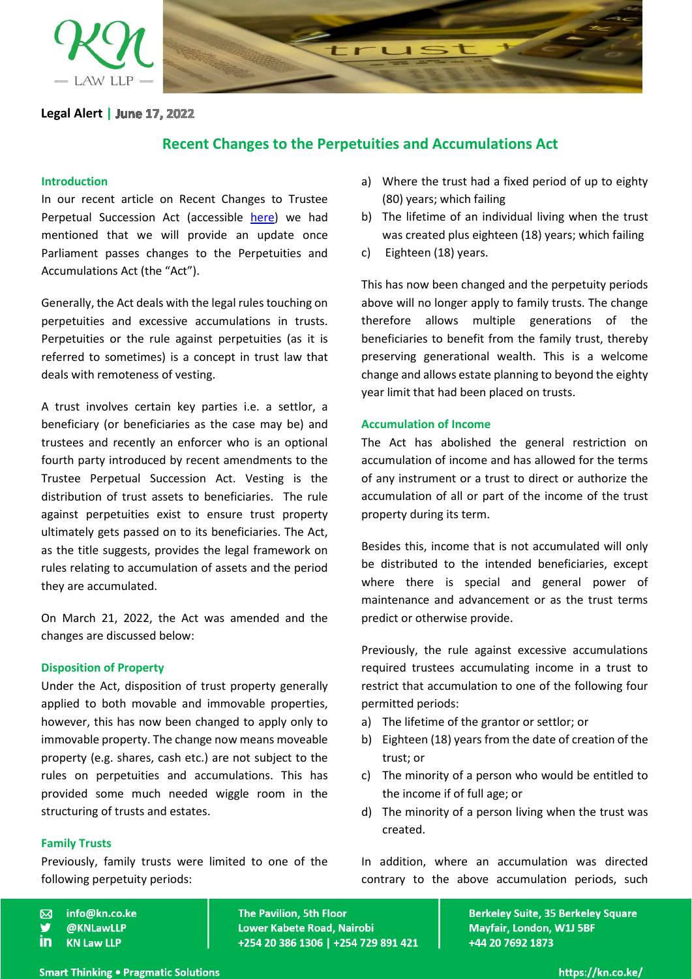

**Legal Alert |**

# **Recent Changes to the Perpetuities and Accumulations Act**

## **Introduction**

In our recent article on Recent Changes to Trustee Perpetual Succession Act (accessible [here\)](https://kn.co.ke/recent-changes-to-trustee-perpetual-succession/) we had mentioned that we will provide an update once Parliament passes changes to the Perpetuities and Accumulations Act (the "Act").

Generally, the Act deals with the legal rules touching on perpetuities and excessive accumulations in trusts. Perpetuities or the rule against perpetuities (as it is referred to sometimes) is a concept in trust law that deals with remoteness of vesting.

A trust involves certain key parties i.e. a settlor, a beneficiary (or beneficiaries as the case may be) and trustees and recently an enforcer who is an optional fourth party introduced by recent amendments to the Trustee Perpetual Succession Act. Vesting is the distribution of trust assets to beneficiaries. The rule against perpetuities exist to ensure trust property ultimately gets passed on to its beneficiaries. The Act, as the title suggests, provides the legal framework on rules relating to accumulation of assets and the period they are accumulated.

On March 21, 2022, the Act was amended and the changes are discussed below:

### **Disposition of Property**

Under the Act, disposition of trust property generally applied to both movable and immovable properties, however, this has now been changed to apply only to immovable property. The change now means moveable property (e.g. shares, cash etc.) are not subject to the rules on perpetuities and accumulations. This has provided some much needed wiggle room in the structuring of trusts and estates.

### **Family Trusts**

Previously, family trusts were limited to one of the following perpetuity periods:

- info@kn.co.ke  $\overline{\mathsf{M}}$
- @KNLawLLP
- in **KN Law LLP**
- a) Where the trust had a fixed period of up to eighty (80) years; which failing
- b) The lifetime of an individual living when the trust was created plus eighteen (18) years; which failing
- c) Eighteen (18) years.

This has now been changed and the perpetuity periods above will no longer apply to family trusts. The change therefore allows multiple generations of the beneficiaries to benefit from the family trust, thereby preserving generational wealth. This is a welcome change and allows estate planning to beyond the eighty year limit that had been placed on trusts.

#### **Accumulation of Income**

The Act has abolished the general restriction on accumulation of income and has allowed for the terms of any instrument or a trust to direct or authorize the accumulation of all or part of the income of the trust property during its term.

Besides this, income that is not accumulated will only be distributed to the intended beneficiaries, except where there is special and general power of maintenance and advancement or as the trust terms predict or otherwise provide.

Previously, the rule against excessive accumulations required trustees accumulating income in a trust to restrict that accumulation to one of the following four permitted periods:

- a) The lifetime of the grantor or settlor; or
- b) Eighteen (18) years from the date of creation of the trust; or
- c) The minority of a person who would be entitled to the income if of full age; or
- d) The minority of a person living when the trust was created.

In addition, where an accumulation was directed contrary to the above accumulation periods, such

**The Pavilion, 5th Floor** Lower Kabete Road, Nairobi +254 20 386 1306 | +254 729 891 421 **Berkeley Suite, 35 Berkeley Square** Mayfair, London, W1J 5BF +44 20 7692 1873

**Smart Thinking . Pragmatic Solutions** 

https://kn.co.ke/